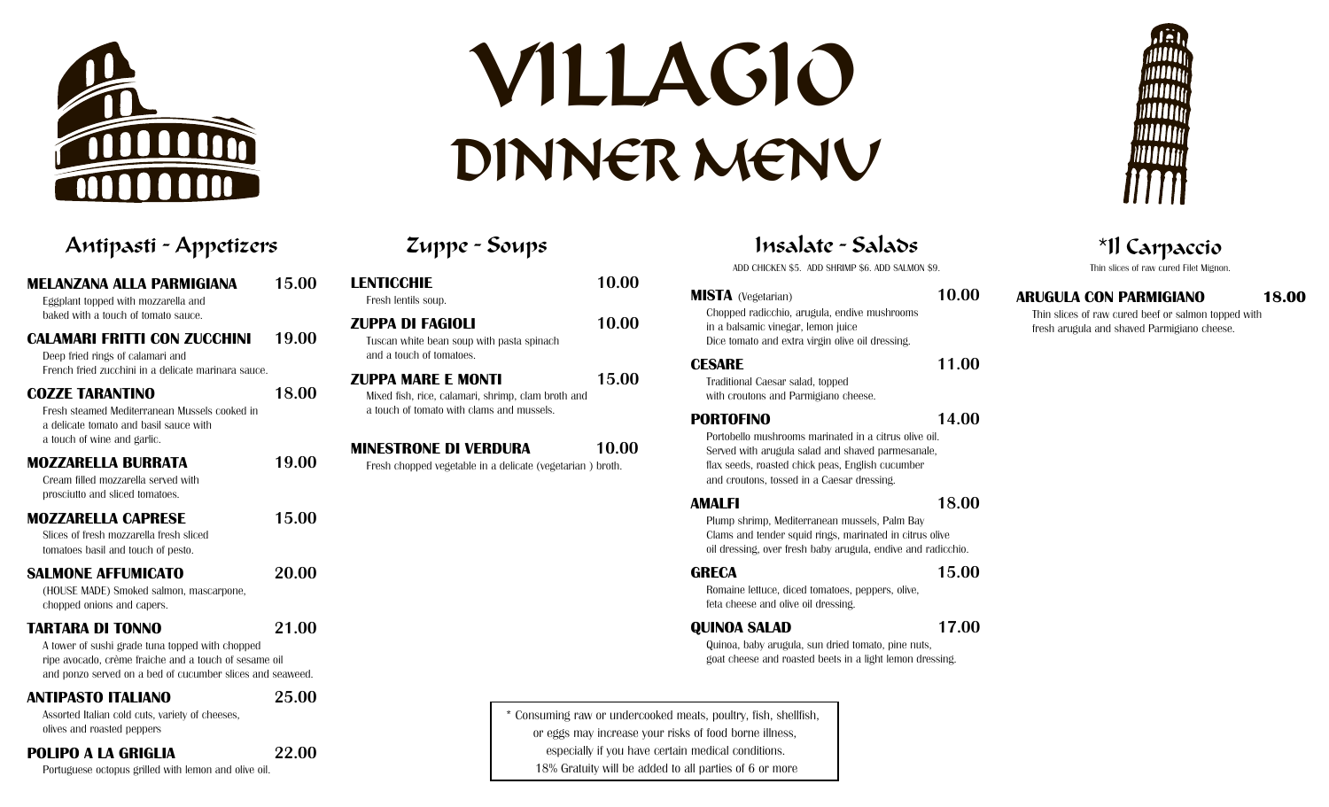

# VILLAGIO DINNER MENU

### Antipasti - Appetizers Zuppe - Soups Insalate - Salads \*Il Carpaccio **MELANZANA ALLA PARMIGIANA 15.00** Eggplant topped with mozzarella and baked with a touch of tomato sauce. **CALAMARI FRITTI CON ZUCCHINI 19.00** Deep fried rings of calamari and French fried zucchini in a delicate marinara sauce. **COZZE TARANTINO 18.00** Fresh steamed Mediterranean Mussels cooked in a delicate tomato and basil sauce with a touch of wine and garlic. **MOZZARELLA BURRATA 19.00** Cream filled mozzarella served with prosciutto and sliced tomatoes. **MOZZARELLA CAPRESE 15.00** Slices of fresh mozzarella fresh sliced tomatoes basil and touch of pesto. **SALMONE AFFUMICATO 20.00** (HOUSE MADE) Smoked salmon, mascarpone, chopped onions and capers. **TARTARA DI TONNO 21.00** A tower of sushi grade tuna topped with chopped ripe avocado, crème fraiche and a touch of sesame oil and ponzo served on a bed of cucumber slices and seaweed. **ANTIPASTO ITALIANO 25.00**

Assorted Italian cold cuts, variety of cheeses, olives and roasted peppers

**POLIPO A LA GRIGLIA 22.00**

Portuguese octopus grilled with lemon and olive oil.

| 10.00                                                              |
|--------------------------------------------------------------------|
| 10.00                                                              |
| 15.00                                                              |
| 10.00<br>Fresh chopped vegetable in a delicate (vegetarian) broth. |
|                                                                    |
|                                                                    |

ADD CHICKEN \$5. ADD SHRIMP \$6. ADD SALMON \$9.

# **MISTA** (Vegetarian) **10.00**

Chopped radicchio, arugula, endive mushrooms in a balsamic vinegar, lemon juice Dice tomato and extra virgin olive oil dressing.

#### **CESARE 11.00**

Traditional Caesar salad, topped with croutons and Parmigiano cheese.

#### **PORTOFINO 14.00**

Portobello mushrooms marinated in a citrus olive oil. Served with arugula salad and shaved parmesanale, flax seeds, roasted chick peas, English cucumber and croutons, tossed in a Caesar dressing.

#### **AMALFI 18.00**

Plump shrimp, Mediterranean mussels, Palm Bay Clams and tender squid rings, marinated in citrus olive oil dressing, over fresh baby arugula, endive and radicchio.

#### **GRECA 15.00**

Romaine lettuce, diced tomatoes, peppers, olive, feta cheese and olive oil dressing.

### **QUINOA SALAD 17.00**

Quinoa, baby arugula, sun dried tomato, pine nuts, goat cheese and roasted beets in a light lemon dressing.

\* Consuming raw or undercooked meats, poultry, fish, shellfish, or eggs may increase your risks of food borne illness, especially if you have certain medical conditions. 18% Gratuity will be added to all parties of 6 or more

Thin slices of raw cured Filet Mignon.

## **ARUGULA CON PARMIGIANO 18.00**

Thin slices of raw cured beef or salmon topped with fresh arugula and shaved Parmigiano cheese.